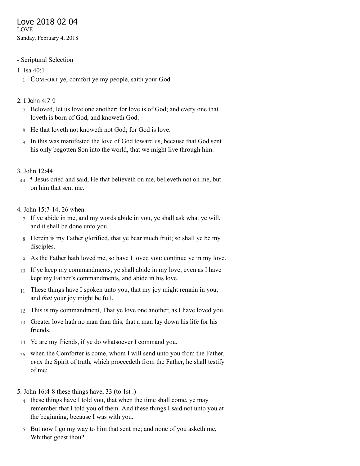- Scriptural Selection
- 1. [Isa 40:1](http://www.concordworks.com/citation/Isa%2040:1)
	- 1 COMFORT ye, comfort ye my people, saith your God.

### 2. I John [4:7-9](http://www.concordworks.com/citation/I%20John%204:7-9)

- 7 Beloved, let us love one another: for love is of God; and every one that loveth is born of God, and knoweth God.
- 8 He that loveth not knoweth not God; for God is love.
- 9 In this was manifested the love of God toward us, because that God sent his only begotten Son into the world, that we might live through him.

### 3. [John 12:44](http://www.concordworks.com/citation/John%2012:44)

44 ¶ Jesus cried and said, He that believeth on me, believeth not on me, but on him that sent me.

#### 4. [John 15:7-14, 26 when](http://www.concordworks.com/citation/John%2015:7-14,%2026%20when)

- 7 If ye abide in me, and my words abide in you, ye shall ask what ye will, and it shall be done unto you.
- 8 Herein is my Father glorified, that ye bear much fruit; so shall ye be my disciples.
- 9 As the Father hath loved me, so have I loved you: continue ye in my love.
- 10 If ye keep my commandments, ye shall abide in my love; even as I have kept my Father's commandments, and abide in his love.
- 11 These things have I spoken unto you, that my joy might remain in you, and *that* your joy might be full.
- 12 This is my commandment, That ye love one another, as I have loved you.
- 13 Greater love hath no man than this, that a man lay down his life for his friends.
- 14 Ye are my friends, if ye do whatsoever I command you.
- 26 when the Comforter is come, whom I will send unto you from the Father, *even* the Spirit of truth, which proceedeth from the Father, he shall testify of me:
- 5. [John 16:4-8 these things have, 33 \(to 1st .\)](http://www.concordworks.com/citation/John%2016:4-8%20these%20things%20have,%2033%20(to%201st%20.))
	- 4 these things have I told you, that when the time shall come, ye may remember that I told you of them. And these things I said not unto you at the beginning, because I was with you.
	- 5 But now I go my way to him that sent me; and none of you asketh me, Whither goest thou?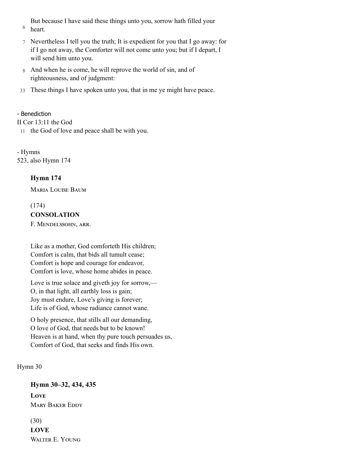6 But because I have said these things unto you, sorrow hath filled your heart.

- 7 Nevertheless I tell you the truth; It is expedient for you that I go away: for if I go not away, the Comforter will not come unto you; but if I depart, I will send him unto you.
- 8 And when he is come, he will reprove the world of sin, and of righteousness, and of judgment:
- 33 These things I have spoken unto you, that in me ye might have peace.

#### - Benediction

[II Cor 13:11 the God](http://www.concordworks.com/citation/II%20Cor%2013:11%20the%20God)

11 the God of love and peace shall be with you.

- Hymns 523, also [Hymn 174](http://www.concordworks.com/citation/Hymn%20174)

## Hymn 174

**MARIA LOUISE BAUM** 

### (174) **CONSOLATION**

F. MENDELSSOHN, ARR.

Like as a mother, God comforteth His children; Comfort is calm, that bids all tumult cease; Comfort is hope and courage for endeavor, Comfort is love, whose home abides in peace.

Love is true solace and giveth joy for sorrow,— O, in that light, all earthly loss is gain; Joy must endure, Love's giving is forever; Life is of God, whose radiance cannot wane.

O holy presence, that stills all our demanding, O love of God, that needs but to be known! Heaven is at hand, when thy pure touch persuades us, Comfort of God, that seeks and finds His own.

### [Hymn 30](http://www.concordworks.com/citation/Hymn%2030)

# Hymn 30–32, 434, 435 **LOVE MARY BAKER EDDY**

(30) LOVE WALTER E. YOUNG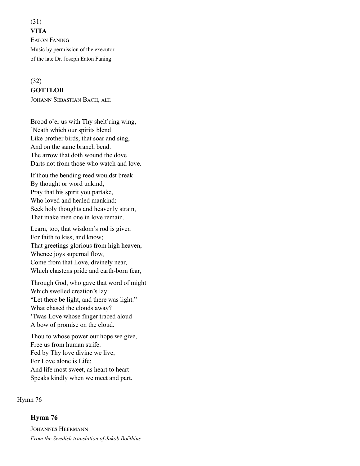(31) **VITA EATON FANING** Music by permission of the executor of the late Dr. Joseph Eaton Faning

#### (32)

#### **GOTTLOB**

JOHANN SEBASTIAN BACH, ALT.

Brood o'er us with Thy shelt'ring wing, 'Neath which our spirits blend Like brother birds, that soar and sing, And on the same branch bend. The arrow that doth wound the dove Darts not from those who watch and love.

If thou the bending reed wouldst break By thought or word unkind, Pray that his spirit you partake, Who loved and healed mankind: Seek holy thoughts and heavenly strain, That make men one in love remain.

Learn, too, that wisdom's rod is given For faith to kiss, and know; That greetings glorious from high heaven, Whence joys supernal flow, Come from that Love, divinely near, Which chastens pride and earth-born fear,

Through God, who gave that word of might Which swelled creation's lay: "Let there be light, and there was light." What chased the clouds away? 'Twas Love whose finger traced aloud A bow of promise on the cloud.

Thou to whose power our hope we give, Free us from human strife. Fed by Thy love divine we live, For Love alone is Life; And life most sweet, as heart to heart Speaks kindly when we meet and part.

[Hymn 76](http://www.concordworks.com/citation/Hymn%2076)

Hymn 76

**JOHANNES HEERMANN** *From the Swedish translation of Jakob Boëthius*